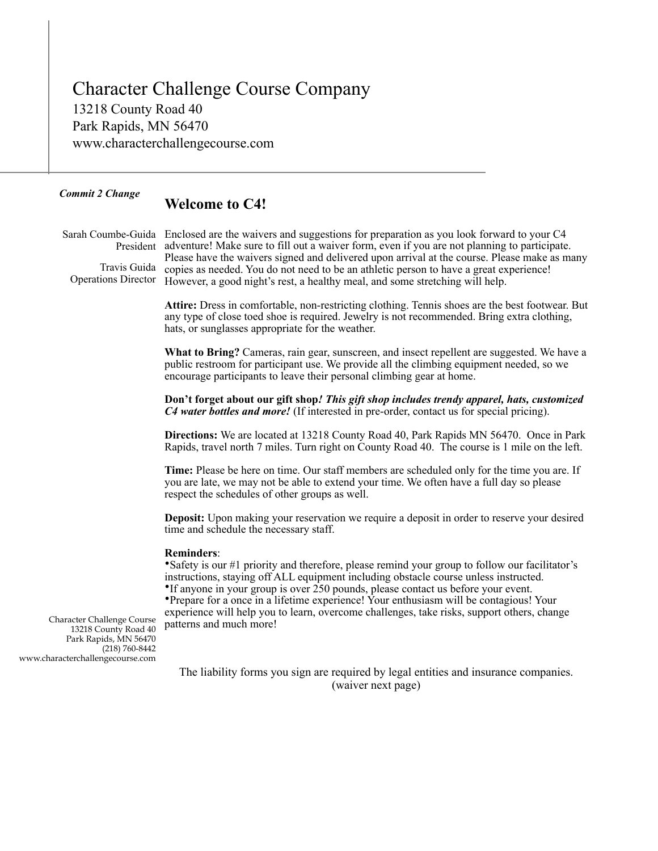Character Challenge Course Company 13218 County Road 40 Park Rapids, MN 56470 www.characterchallengecourse.com

## *Commit 2 Change*

# **Welcome to C4!**

Sarah Coumbe-Guida Enclosed are the waivers and suggestions for preparation as you look forward to your C4 President adventure! Make sure to fill out a waiver form, even if you are not planning to participate. Please have the waivers signed and delivered upon arrival at the course. Please make as many Travis Guida copies as needed. You do not need to be an athletic person to have a great experience! Operations Director However, a good night's rest, a healthy meal, and some stretching will help.

> **Attire:** Dress in comfortable, non-restricting clothing. Tennis shoes are the best footwear. But any type of close toed shoe is required. Jewelry is not recommended. Bring extra clothing, hats, or sunglasses appropriate for the weather.

> **What to Bring?** Cameras, rain gear, sunscreen, and insect repellent are suggested. We have a public restroom for participant use. We provide all the climbing equipment needed, so we encourage participants to leave their personal climbing gear at home.

> **Don't forget about our gift shop***! This gift shop includes trendy apparel, hats, customized C4 water bottles and more!* (If interested in pre-order, contact us for special pricing).

> **Directions:** We are located at 13218 County Road 40, Park Rapids MN 56470. Once in Park Rapids, travel north 7 miles. Turn right on County Road 40. The course is 1 mile on the left.

**Time:** Please be here on time. Our staff members are scheduled only for the time you are. If you are late, we may not be able to extend your time. We often have a full day so please respect the schedules of other groups as well.

**Deposit:** Upon making your reservation we require a deposit in order to reserve your desired time and schedule the necessary staff.

### **Reminders**:

•Safety is our #1 priority and therefore, please remind your group to follow our facilitator's instructions, staying off ALL equipment including obstacle course unless instructed.

•If anyone in your group is over 250 pounds, please contact us before your event.

•Prepare for a once in a lifetime experience! Your enthusiasm will be contagious! Your experience will help you to learn, overcome challenges, take risks, support others, change patterns and much more!

 Character Challenge Course 13218 County Road 40 Park Rapids, MN 56470 (218) 760-8442 www.characterchallengecourse.com

> The liability forms you sign are required by legal entities and insurance companies. (waiver next page)